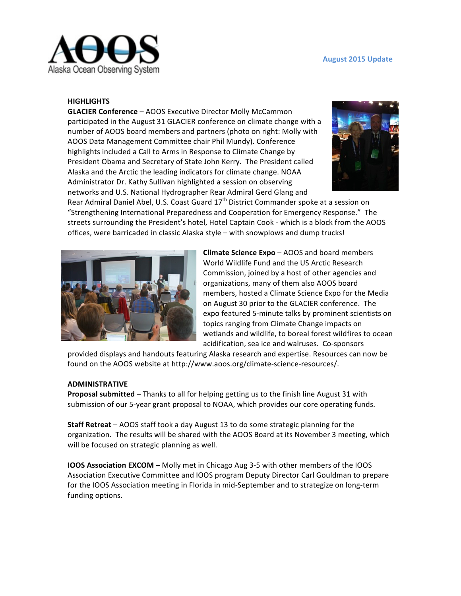

### **August 2015 Update**

# **HIGHLIGHTS**

**GLACIER Conference** - AOOS Executive Director Molly McCammon participated in the August 31 GLACIER conference on climate change with a number of AOOS board members and partners (photo on right: Molly with AOOS Data Management Committee chair Phil Mundy). Conference highlights included a Call to Arms in Response to Climate Change by President Obama and Secretary of State John Kerry. The President called Alaska and the Arctic the leading indicators for climate change. NOAA Administrator Dr. Kathy Sullivan highlighted a session on observing networks and U.S. National Hydrographer Rear Admiral Gerd Glang and



Rear Admiral Daniel Abel, U.S. Coast Guard 17<sup>th</sup> District Commander spoke at a session on "Strengthening International Preparedness and Cooperation for Emergency Response." The streets surrounding the President's hotel, Hotel Captain Cook - which is a block from the AOOS offices, were barricaded in classic Alaska style – with snowplows and dump trucks!



**Climate Science Expo** – AOOS and board members World Wildlife Fund and the US Arctic Research Commission, joined by a host of other agencies and organizations, many of them also AOOS board members, hosted a Climate Science Expo for the Media on August 30 prior to the GLACIER conference. The expo featured 5-minute talks by prominent scientists on topics ranging from Climate Change impacts on wetlands and wildlife, to boreal forest wildfires to ocean acidification, sea ice and walruses. Co-sponsors

provided displays and handouts featuring Alaska research and expertise. Resources can now be found on the AOOS website at http://www.aoos.org/climate-science-resources/.

## **ADMINISTRATIVE**

**Proposal submitted** – Thanks to all for helping getting us to the finish line August 31 with submission of our 5-year grant proposal to NOAA, which provides our core operating funds.

**Staff Retreat** – AOOS staff took a day August 13 to do some strategic planning for the organization. The results will be shared with the AOOS Board at its November 3 meeting, which will be focused on strategic planning as well.

**IOOS Association EXCOM** – Molly met in Chicago Aug 3-5 with other members of the IOOS Association Executive Committee and IOOS program Deputy Director Carl Gouldman to prepare for the IOOS Association meeting in Florida in mid-September and to strategize on long-term funding options.